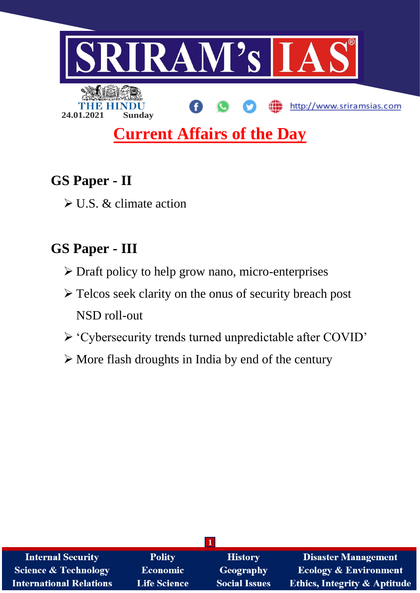

# **GS Paper - II**

U.S. & climate action

## **GS Paper - III**

- Draft policy to help grow nano, micro-enterprises
- > Telcos seek clarity on the onus of security breach post NSD roll-out
- 'Cybersecurity trends turned unpredictable after COVID'
- $\triangleright$  More flash droughts in India by end of the century

| <b>Internal Security</b>        | <b>Polity</b>   | <b>History</b>       | <b>Disaster Management</b>              |
|---------------------------------|-----------------|----------------------|-----------------------------------------|
| <b>Science &amp; Technology</b> | <b>Economic</b> | <b>Geography</b>     | <b>Ecology &amp; Environment</b>        |
| <b>International Relations</b>  | Life Science    | <b>Social Issues</b> | <b>Ethics, Integrity &amp; Aptitude</b> |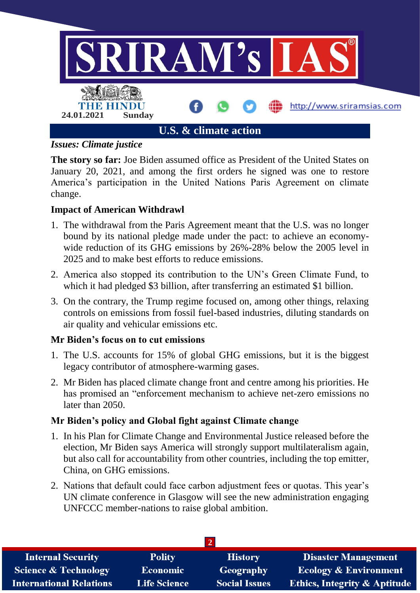

*Issues: Climate justice*

**The story so far:** Joe Biden assumed office as President of the United States on January 20, 2021, and among the first orders he signed was one to restore America's participation in the United Nations Paris Agreement on climate change.

## **Impact of American Withdrawl**

- 1. The withdrawal from the Paris Agreement meant that the U.S. was no longer bound by its national pledge made under the pact: to achieve an economywide reduction of its GHG emissions by 26%-28% below the 2005 level in 2025 and to make best efforts to reduce emissions.
- 2. America also stopped its contribution to the UN's Green Climate Fund, to which it had pledged \$3 billion, after transferring an estimated \$1 billion.
- 3. On the contrary, the Trump regime focused on, among other things, relaxing controls on emissions from fossil fuel-based industries, diluting standards on air quality and vehicular emissions etc.

## **Mr Biden's focus on to cut emissions**

- 1. The U.S. accounts for 15% of global GHG emissions, but it is the biggest legacy contributor of atmosphere-warming gases.
- 2. Mr Biden has placed climate change front and centre among his priorities. He has promised an "enforcement mechanism to achieve net-zero emissions no later than 2050.

## **Mr Biden's policy and Global fight against Climate change**

- 1. In his Plan for Climate Change and Environmental Justice released before the election, Mr Biden says America will strongly support multilateralism again, but also call for accountability from other countries, including the top emitter, China, on GHG emissions.
- 2. Nations that default could face carbon adjustment fees or quotas. This year's UN climate conference in Glasgow will see the new administration engaging UNFCCC member-nations to raise global ambition.

| <b>Internal Security</b>        | <b>Polity</b>       | <b>History</b>       | <b>Disaster Management</b>              |
|---------------------------------|---------------------|----------------------|-----------------------------------------|
| <b>Science &amp; Technology</b> | <b>Economic</b>     | <b>Geography</b>     | <b>Ecology &amp; Environment</b>        |
| <b>International Relations</b>  | <b>Life Science</b> | <b>Social Issues</b> | <b>Ethics, Integrity &amp; Aptitude</b> |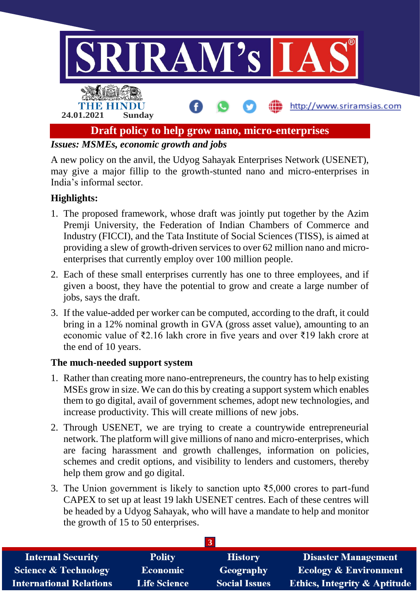

*Issues: MSMEs, economic growth and jobs*

A new policy on the anvil, the Udyog Sahayak Enterprises Network (USENET), may give a major fillip to the growth-stunted nano and micro-enterprises in India's informal sector.

## **Highlights:**

- 1. The proposed framework, whose draft was jointly put together by the Azim Premji University, the Federation of Indian Chambers of Commerce and Industry (FICCI), and the Tata Institute of Social Sciences (TISS), is aimed at providing a slew of growth-driven services to over 62 million nano and microenterprises that currently employ over 100 million people.
- 2. Each of these small enterprises currently has one to three employees, and if given a boost, they have the potential to grow and create a large number of jobs, says the draft.
- 3. If the value-added per worker can be computed, according to the draft, it could bring in a 12% nominal growth in GVA (gross asset value), amounting to an economic value of ₹2.16 lakh crore in five years and over ₹19 lakh crore at the end of 10 years.

## **The much-needed support system**

- 1. Rather than creating more nano-entrepreneurs, the country has to help existing MSEs grow in size. We can do this by creating a support system which enables them to go digital, avail of government schemes, adopt new technologies, and increase productivity. This will create millions of new jobs.
- 2. Through USENET, we are trying to create a countrywide entrepreneurial network. The platform will give millions of nano and micro-enterprises, which are facing harassment and growth challenges, information on policies, schemes and credit options, and visibility to lenders and customers, thereby help them grow and go digital.
- 3. The Union government is likely to sanction upto ₹5,000 crores to part-fund CAPEX to set up at least 19 lakh USENET centres. Each of these centres will be headed by a Udyog Sahayak, who will have a mandate to help and monitor the growth of 15 to 50 enterprises.

| <b>Internal Security</b>        | <b>Polity</b>       | <b>History</b>       | <b>Disaster Management</b>              |
|---------------------------------|---------------------|----------------------|-----------------------------------------|
| <b>Science &amp; Technology</b> | <b>Economic</b>     | Geography            | <b>Ecology &amp; Environment</b>        |
| <b>International Relations</b>  | <b>Life Science</b> | <b>Social Issues</b> | <b>Ethics, Integrity &amp; Aptitude</b> |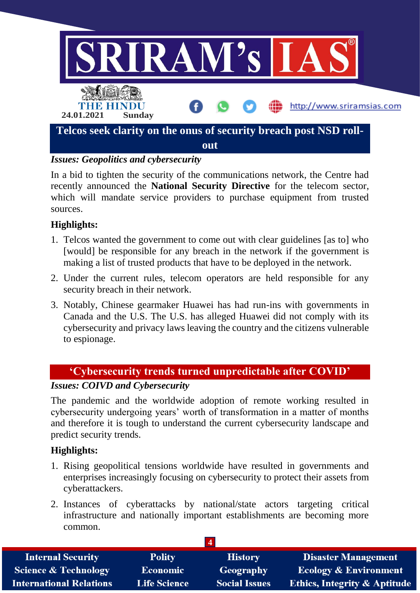

## *Issues: Geopolitics and cybersecurity*

In a bid to tighten the security of the communications network, the Centre had recently announced the **National Security Directive** for the telecom sector, which will mandate service providers to purchase equipment from trusted sources.

## **Highlights:**

- 1. Telcos wanted the government to come out with clear guidelines [as to] who [would] be responsible for any breach in the network if the government is making a list of trusted products that have to be deployed in the network.
- 2. Under the current rules, telecom operators are held responsible for any security breach in their network.
- 3. Notably, Chinese gearmaker Huawei has had run-ins with governments in Canada and the U.S. The U.S. has alleged Huawei did not comply with its cybersecurity and privacy laws leaving the country and the citizens vulnerable to espionage.

## **'Cybersecurity trends turned unpredictable after COVID'**

## *Issues: COIVD and Cybersecurity*

The pandemic and the worldwide adoption of remote working resulted in cybersecurity undergoing years' worth of transformation in a matter of months and therefore it is tough to understand the current cybersecurity landscape and predict security trends.

## **Highlights:**

- 1. Rising geopolitical tensions worldwide have resulted in governments and enterprises increasingly focusing on cybersecurity to protect their assets from cyberattackers.
- 2. Instances of cyberattacks by national/state actors targeting critical infrastructure and nationally important establishments are becoming more common.

| <b>Internal Security</b>        | <b>Polity</b>       | <b>History</b>       | <b>Disaster Management</b>              |
|---------------------------------|---------------------|----------------------|-----------------------------------------|
| <b>Science &amp; Technology</b> | <b>Economic</b>     | Geography            | Ecology & Environment                   |
| <b>International Relations</b>  | <b>Life Science</b> | <b>Social Issues</b> | <b>Ethics, Integrity &amp; Aptitude</b> |